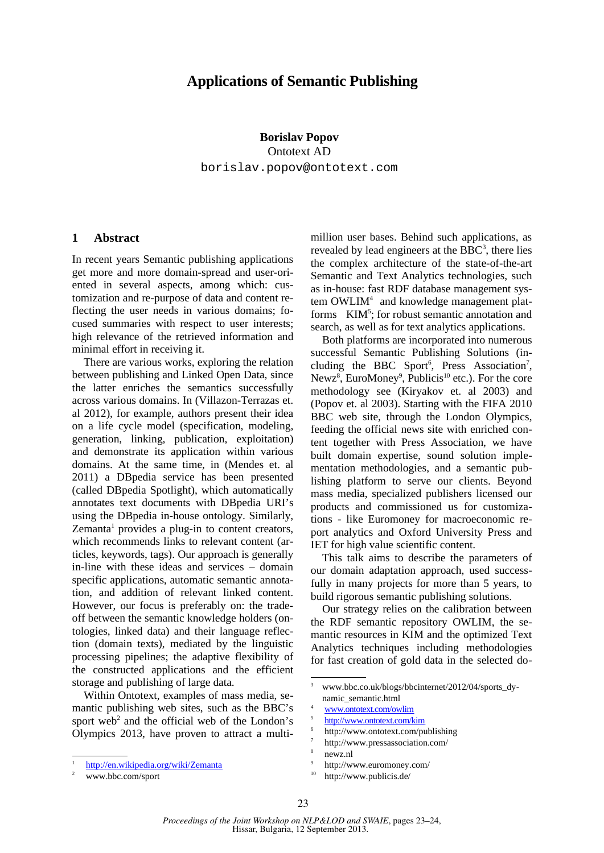## **Applications of Semantic Publishing**

**Borislav Popov** Ontotext AD borislav.popov@ontotext.com

## **1 Abstract**

In recent years Semantic publishing applications get more and more domain-spread and user-oriented in several aspects, among which: customization and re-purpose of data and content reflecting the user needs in various domains; focused summaries with respect to user interests; high relevance of the retrieved information and minimal effort in receiving it.

There are various works, exploring the relation between publishing and Linked Open Data, since the latter enriches the semantics successfully across various domains. In (Villazon-Terrazas et. al 2012), for example, authors present their idea on a life cycle model (specification, modeling, generation, linking, publication, exploitation) and demonstrate its application within various domains. At the same time, in (Mendes et. al 2011) a DBpedia service has been presented (called DBpedia Spotlight), which automatically annotates text documents with DBpedia URI's using the DBpedia in-house ontology. Similarly,  $Z$ emanta $<sup>1</sup>$  provides a plug-in to content creators,</sup> which recommends links to relevant content (articles, keywords, tags). Our approach is generally in-line with these ideas and services – domain specific applications, automatic semantic annotation, and addition of relevant linked content. However, our focus is preferably on: the tradeoff between the semantic knowledge holders (ontologies, linked data) and their language reflection (domain texts), mediated by the linguistic processing pipelines; the adaptive flexibility of the constructed applications and the efficient storage and publishing of large data.

Within Ontotext, examples of mass media, semantic publishing web sites, such as the BBC's sport web<sup>2</sup> and the official web of the London's Olympics 2013, have proven to attract a multimillion user bases. Behind such applications, as revealed by lead engineers at the  $BBC<sup>3</sup>$ , there lies the complex architecture of the state-of-the-art Semantic and Text Analytics technologies, such as in-house: fast RDF database management system OWLIM<sup>4</sup> and knowledge management platforms KIM<sup>5</sup>; for robust semantic annotation and search, as well as for text analytics applications.

Both platforms are incorporated into numerous successful Semantic Publishing Solutions (including the BBC Sport<sup>6</sup>, Press Association<sup>7</sup>, Newz<sup>8</sup>, EuroMoney<sup>9</sup>, Publicis<sup>10</sup> etc.). For the core methodology see (Kiryakov et. al 2003) and (Popov et. al 2003). Starting with the FIFA 2010 BBC web site, through the London Olympics, feeding the official news site with enriched content together with Press Association, we have built domain expertise, sound solution implementation methodologies, and a semantic publishing platform to serve our clients. Beyond mass media, specialized publishers licensed our products and commissioned us for customizations - like Euromoney for macroeconomic report analytics and Oxford University Press and IET for high value scientific content.

This talk aims to describe the parameters of our domain adaptation approach, used successfully in many projects for more than 5 years, to build rigorous semantic publishing solutions.

Our strategy relies on the calibration between the RDF semantic repository OWLIM, the semantic resources in KIM and the optimized Text Analytics techniques including methodologies for fast creation of gold data in the selected do-

- http://www.ontotext.com/publishing
- 7 http://www.pressassociation.com/ 8

9 http://www.euromoney.com/

<sup>1</sup> http://en.wikipedia.org/wiki/Zemanta

<sup>2</sup> www.bbc.com/sport

<sup>&</sup>lt;sup>3</sup> www.bbc.co.uk/blogs/bbcinternet/2012/04/sports\_dynamic\_semantic.html

<sup>4</sup> www.ontotext.com/owlim

<sup>5</sup> http://www.ontotext.com/kim 6

newz.nl

http://www.publicis.de/